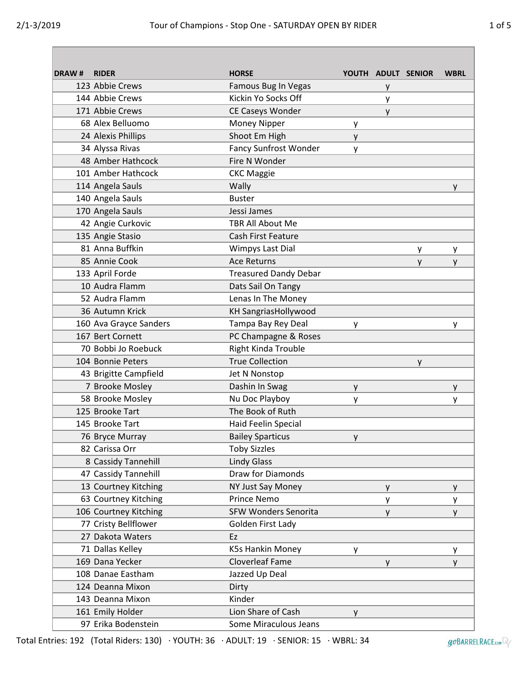| <b>DRAW#</b> | <b>RIDER</b>           | <b>HORSE</b>                 |   |   | YOUTH ADULT SENIOR | <b>WBRL</b> |
|--------------|------------------------|------------------------------|---|---|--------------------|-------------|
|              | 123 Abbie Crews        | Famous Bug In Vegas          |   | у |                    |             |
|              | 144 Abbie Crews        | Kickin Yo Socks Off          |   | у |                    |             |
|              | 171 Abbie Crews        | CE Caseys Wonder             |   | y |                    |             |
|              | 68 Alex Belluomo       | Money Nipper                 | y |   |                    |             |
|              | 24 Alexis Phillips     | Shoot Em High                | y |   |                    |             |
|              | 34 Alyssa Rivas        | <b>Fancy Sunfrost Wonder</b> | y |   |                    |             |
|              | 48 Amber Hathcock      | Fire N Wonder                |   |   |                    |             |
|              | 101 Amber Hathcock     | <b>CKC Maggie</b>            |   |   |                    |             |
|              | 114 Angela Sauls       | Wally                        |   |   |                    | У           |
|              | 140 Angela Sauls       | <b>Buster</b>                |   |   |                    |             |
|              | 170 Angela Sauls       | Jessi James                  |   |   |                    |             |
|              | 42 Angie Curkovic      | <b>TBR All About Me</b>      |   |   |                    |             |
|              | 135 Angie Stasio       | <b>Cash First Feature</b>    |   |   |                    |             |
|              | 81 Anna Buffkin        | Wimpys Last Dial             |   |   | y                  | y.          |
|              | 85 Annie Cook          | <b>Ace Returns</b>           |   |   | y                  | ۷           |
|              | 133 April Forde        | <b>Treasured Dandy Debar</b> |   |   |                    |             |
|              | 10 Audra Flamm         | Dats Sail On Tangy           |   |   |                    |             |
|              | 52 Audra Flamm         | Lenas In The Money           |   |   |                    |             |
|              | 36 Autumn Krick        | <b>KH SangriasHollywood</b>  |   |   |                    |             |
|              | 160 Ava Grayce Sanders | Tampa Bay Rey Deal           | y |   |                    | У           |
|              | 167 Bert Cornett       | PC Champagne & Roses         |   |   |                    |             |
|              | 70 Bobbi Jo Roebuck    | <b>Right Kinda Trouble</b>   |   |   |                    |             |
|              | 104 Bonnie Peters      | <b>True Collection</b>       |   |   | y                  |             |
|              | 43 Brigitte Campfield  | Jet N Nonstop                |   |   |                    |             |
|              | 7 Brooke Mosley        | Dashin In Swag               | y |   |                    | y           |
|              | 58 Brooke Mosley       | Nu Doc Playboy               | у |   |                    | у           |
|              | 125 Brooke Tart        | The Book of Ruth             |   |   |                    |             |
|              | 145 Brooke Tart        | Haid Feelin Special          |   |   |                    |             |
|              | 76 Bryce Murray        | <b>Bailey Sparticus</b>      | y |   |                    |             |
|              | 82 Carissa Orr         | <b>Toby Sizzles</b>          |   |   |                    |             |
|              | 8 Cassidy Tannehill    | <b>Lindy Glass</b>           |   |   |                    |             |
|              | 47 Cassidy Tannehill   | Draw for Diamonds            |   |   |                    |             |
|              | 13 Courtney Kitching   | NY Just Say Money            |   | y |                    | y.          |
|              | 63 Courtney Kitching   | <b>Prince Nemo</b>           |   | у |                    | У           |
|              | 106 Courtney Kitching  | <b>SFW Wonders Senorita</b>  |   | y |                    | У           |
|              | 77 Cristy Bellflower   | Golden First Lady            |   |   |                    |             |
|              | 27 Dakota Waters       | Ez                           |   |   |                    |             |
|              | 71 Dallas Kelley       | K5s Hankin Money             | y |   |                    | y           |
|              | 169 Dana Yecker        | <b>Cloverleaf Fame</b>       |   | y |                    | y           |
|              | 108 Danae Eastham      | Jazzed Up Deal               |   |   |                    |             |
|              | 124 Deanna Mixon       | Dirty                        |   |   |                    |             |
|              | 143 Deanna Mixon       | Kinder                       |   |   |                    |             |
|              | 161 Emily Holder       | Lion Share of Cash           | y |   |                    |             |
|              | 97 Erika Bodenstein    | Some Miraculous Jeans        |   |   |                    |             |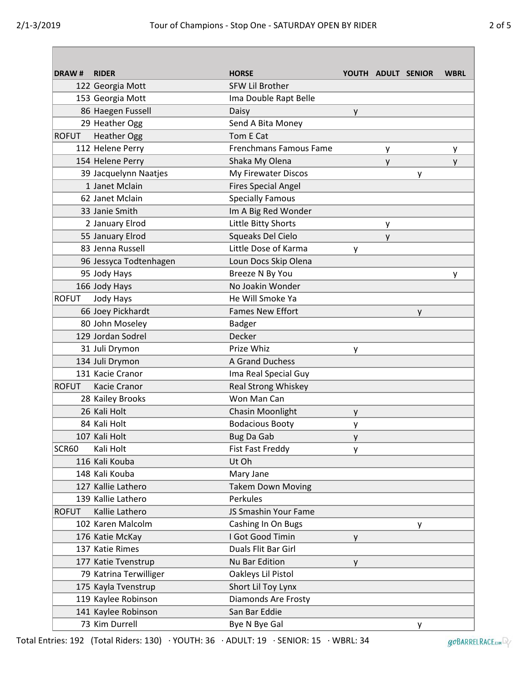| DRAW#        | <b>RIDER</b>           | <b>HORSE</b>                  |   |   | YOUTH ADULT SENIOR | <b>WBRL</b> |
|--------------|------------------------|-------------------------------|---|---|--------------------|-------------|
|              | 122 Georgia Mott       | <b>SFW Lil Brother</b>        |   |   |                    |             |
|              | 153 Georgia Mott       | Ima Double Rapt Belle         |   |   |                    |             |
|              | 86 Haegen Fussell      | Daisy                         | y |   |                    |             |
|              | 29 Heather Ogg         | Send A Bita Money             |   |   |                    |             |
| <b>ROFUT</b> | <b>Heather Ogg</b>     | Tom E Cat                     |   |   |                    |             |
|              | 112 Helene Perry       | <b>Frenchmans Famous Fame</b> |   | y |                    | y           |
|              | 154 Helene Perry       | Shaka My Olena                |   | y |                    | y           |
|              | 39 Jacquelynn Naatjes  | My Firewater Discos           |   |   | у                  |             |
|              | 1 Janet Mclain         | <b>Fires Special Angel</b>    |   |   |                    |             |
|              | 62 Janet Mclain        | <b>Specially Famous</b>       |   |   |                    |             |
|              | 33 Janie Smith         | Im A Big Red Wonder           |   |   |                    |             |
|              | 2 January Elrod        | Little Bitty Shorts           |   | у |                    |             |
|              | 55 January Elrod       | Squeaks Del Cielo             |   | y |                    |             |
|              | 83 Jenna Russell       | Little Dose of Karma          | y |   |                    |             |
|              | 96 Jessyca Todtenhagen | Loun Docs Skip Olena          |   |   |                    |             |
|              | 95 Jody Hays           | Breeze N By You               |   |   |                    | y           |
|              | 166 Jody Hays          | No Joakin Wonder              |   |   |                    |             |
| <b>ROFUT</b> | Jody Hays              | He Will Smoke Ya              |   |   |                    |             |
|              | 66 Joey Pickhardt      | <b>Fames New Effort</b>       |   |   | y                  |             |
|              | 80 John Moseley        | <b>Badger</b>                 |   |   |                    |             |
|              | 129 Jordan Sodrel      | Decker                        |   |   |                    |             |
|              | 31 Juli Drymon         | Prize Whiz                    | у |   |                    |             |
|              | 134 Juli Drymon        | A Grand Duchess               |   |   |                    |             |
|              | 131 Kacie Cranor       | Ima Real Special Guy          |   |   |                    |             |
| <b>ROFUT</b> | Kacie Cranor           | <b>Real Strong Whiskey</b>    |   |   |                    |             |
|              | 28 Kailey Brooks       | Won Man Can                   |   |   |                    |             |
|              | 26 Kali Holt           | Chasin Moonlight              | y |   |                    |             |
|              | 84 Kali Holt           | <b>Bodacious Booty</b>        | у |   |                    |             |
|              | 107 Kali Holt          | Bug Da Gab                    | y |   |                    |             |
| SCR60        | Kali Holt              | <b>Fist Fast Freddy</b>       |   |   |                    |             |
|              | 116 Kali Kouba         | Ut Oh                         |   |   |                    |             |
|              | 148 Kali Kouba         | Mary Jane                     |   |   |                    |             |
|              | 127 Kallie Lathero     | <b>Takem Down Moving</b>      |   |   |                    |             |
|              | 139 Kallie Lathero     | Perkules                      |   |   |                    |             |
| <b>ROFUT</b> | Kallie Lathero         | JS Smashin Your Fame          |   |   |                    |             |
|              | 102 Karen Malcolm      | Cashing In On Bugs            |   |   | У                  |             |
|              | 176 Katie McKay        | I Got Good Timin              | y |   |                    |             |
|              | 137 Katie Rimes        | Duals Flit Bar Girl           |   |   |                    |             |
|              | 177 Katie Tvenstrup    | Nu Bar Edition                | y |   |                    |             |
|              | 79 Katrina Terwilliger | Oakleys Lil Pistol            |   |   |                    |             |
|              | 175 Kayla Tvenstrup    | Short Lil Toy Lynx            |   |   |                    |             |
|              | 119 Kaylee Robinson    | Diamonds Are Frosty           |   |   |                    |             |
|              | 141 Kaylee Robinson    | San Bar Eddie                 |   |   |                    |             |
|              | 73 Kim Durrell         | Bye N Bye Gal                 |   |   | y                  |             |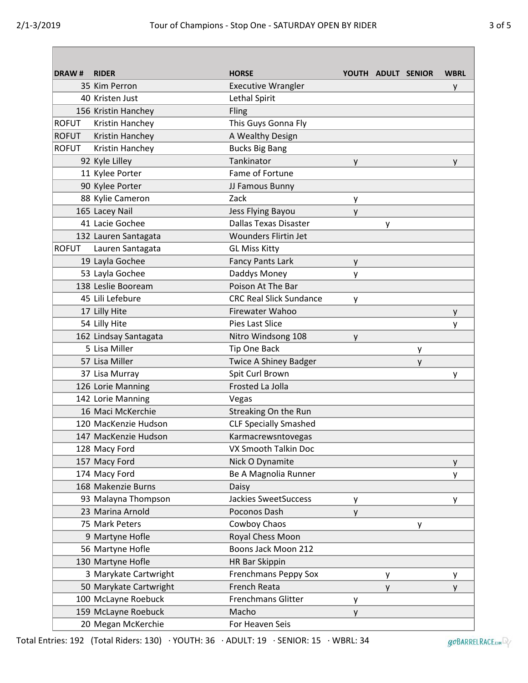| DRAW#        | <b>RIDER</b>           | <b>HORSE</b>                   |   |   | YOUTH ADULT SENIOR | <b>WBRL</b> |
|--------------|------------------------|--------------------------------|---|---|--------------------|-------------|
|              | 35 Kim Perron          | <b>Executive Wrangler</b>      |   |   |                    | y           |
|              | 40 Kristen Just        | Lethal Spirit                  |   |   |                    |             |
|              | 156 Kristin Hanchey    | Fling                          |   |   |                    |             |
| <b>ROFUT</b> | Kristin Hanchey        | This Guys Gonna Fly            |   |   |                    |             |
| <b>ROFUT</b> | Kristin Hanchey        | A Wealthy Design               |   |   |                    |             |
| <b>ROFUT</b> | Kristin Hanchey        | <b>Bucks Big Bang</b>          |   |   |                    |             |
|              | 92 Kyle Lilley         | Tankinator                     | y |   |                    | y           |
|              | 11 Kylee Porter        | Fame of Fortune                |   |   |                    |             |
|              | 90 Kylee Porter        | JJ Famous Bunny                |   |   |                    |             |
|              | 88 Kylie Cameron       | Zack                           | y |   |                    |             |
|              | 165 Lacey Nail         | Jess Flying Bayou              | y |   |                    |             |
|              | 41 Lacie Gochee        | <b>Dallas Texas Disaster</b>   |   | y |                    |             |
|              | 132 Lauren Santagata   | <b>Wounders Flirtin Jet</b>    |   |   |                    |             |
| <b>ROFUT</b> | Lauren Santagata       | <b>GL Miss Kitty</b>           |   |   |                    |             |
|              | 19 Layla Gochee        | <b>Fancy Pants Lark</b>        | y |   |                    |             |
|              | 53 Layla Gochee        | Daddys Money                   | у |   |                    |             |
|              | 138 Leslie Booream     | Poison At The Bar              |   |   |                    |             |
|              | 45 Lili Lefebure       | <b>CRC Real Slick Sundance</b> | y |   |                    |             |
|              | 17 Lilly Hite          | Firewater Wahoo                |   |   |                    | y           |
|              | 54 Lilly Hite          | Pies Last Slice                |   |   |                    | У           |
|              | 162 Lindsay Santagata  | Nitro Windsong 108             | y |   |                    |             |
|              | 5 Lisa Miller          | Tip One Back                   |   |   | у                  |             |
|              | 57 Lisa Miller         | <b>Twice A Shiney Badger</b>   |   |   | у                  |             |
|              | 37 Lisa Murray         | Spit Curl Brown                |   |   |                    | у           |
|              | 126 Lorie Manning      | Frosted La Jolla               |   |   |                    |             |
|              | 142 Lorie Manning      | Vegas                          |   |   |                    |             |
|              | 16 Maci McKerchie      | Streaking On the Run           |   |   |                    |             |
|              | 120 MacKenzie Hudson   | <b>CLF Specially Smashed</b>   |   |   |                    |             |
|              | 147 MacKenzie Hudson   | Karmacrewsntovegas             |   |   |                    |             |
|              | 128 Macy Ford          | VX Smooth Talkin Doc           |   |   |                    |             |
|              | 157 Macy Ford          | Nick O Dynamite                |   |   |                    | y           |
|              | 174 Macy Ford          | Be A Magnolia Runner           |   |   |                    | у           |
|              | 168 Makenzie Burns     | Daisy                          |   |   |                    |             |
|              | 93 Malayna Thompson    | <b>Jackies SweetSuccess</b>    | у |   |                    | у           |
|              | 23 Marina Arnold       | Poconos Dash                   | y |   |                    |             |
|              | 75 Mark Peters         | Cowboy Chaos                   |   |   | у                  |             |
|              | 9 Martyne Hofle        | Royal Chess Moon               |   |   |                    |             |
|              | 56 Martyne Hofle       | Boons Jack Moon 212            |   |   |                    |             |
|              | 130 Martyne Hofle      | HR Bar Skippin                 |   |   |                    |             |
|              | 3 Marykate Cartwright  | Frenchmans Peppy Sox           |   | у |                    | у           |
|              | 50 Marykate Cartwright | <b>French Reata</b>            |   | y |                    | y           |
|              | 100 McLayne Roebuck    | <b>Frenchmans Glitter</b>      | у |   |                    |             |
|              | 159 McLayne Roebuck    | Macho                          | у |   |                    |             |
|              | 20 Megan McKerchie     | For Heaven Seis                |   |   |                    |             |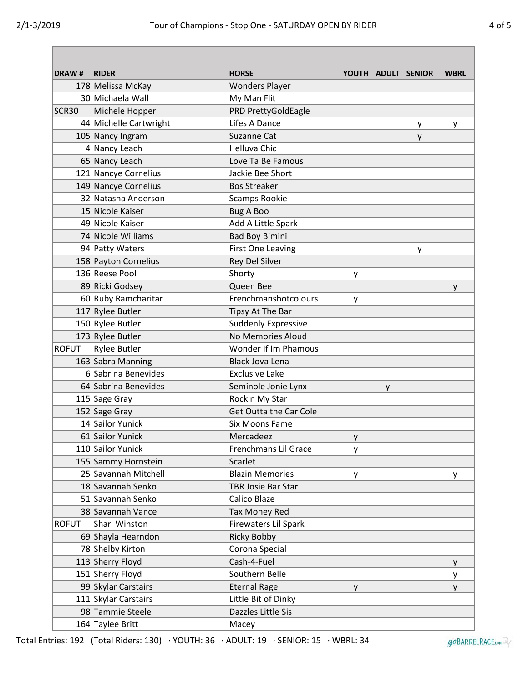| <b>DRAW#</b>      | <b>RIDER</b>           | <b>HORSE</b>                  |   | YOUTH ADULT SENIOR |   | <b>WBRL</b> |
|-------------------|------------------------|-------------------------------|---|--------------------|---|-------------|
|                   | 178 Melissa McKay      | <b>Wonders Player</b>         |   |                    |   |             |
|                   | 30 Michaela Wall       | My Man Flit                   |   |                    |   |             |
| SCR <sub>30</sub> | Michele Hopper         | PRD PrettyGoldEagle           |   |                    |   |             |
|                   | 44 Michelle Cartwright | Lifes A Dance                 |   |                    | у | y           |
|                   | 105 Nancy Ingram       | Suzanne Cat                   |   |                    | y |             |
|                   | 4 Nancy Leach          | <b>Helluva Chic</b>           |   |                    |   |             |
|                   | 65 Nancy Leach         | Love Ta Be Famous             |   |                    |   |             |
|                   | 121 Nancye Cornelius   | Jackie Bee Short              |   |                    |   |             |
|                   | 149 Nancye Cornelius   | <b>Bos Streaker</b>           |   |                    |   |             |
|                   | 32 Natasha Anderson    | <b>Scamps Rookie</b>          |   |                    |   |             |
|                   | 15 Nicole Kaiser       | <b>Bug A Boo</b>              |   |                    |   |             |
|                   | 49 Nicole Kaiser       | Add A Little Spark            |   |                    |   |             |
|                   | 74 Nicole Williams     | <b>Bad Boy Bimini</b>         |   |                    |   |             |
|                   | 94 Patty Waters        | <b>First One Leaving</b>      |   |                    | у |             |
|                   | 158 Payton Cornelius   | Rey Del Silver                |   |                    |   |             |
|                   | 136 Reese Pool         | Shorty                        | y |                    |   |             |
|                   | 89 Ricki Godsey        | Queen Bee                     |   |                    |   | y           |
|                   | 60 Ruby Ramcharitar    | Frenchmanshotcolours          | y |                    |   |             |
|                   | 117 Rylee Butler       | Tipsy At The Bar              |   |                    |   |             |
|                   | 150 Rylee Butler       | <b>Suddenly Expressive</b>    |   |                    |   |             |
|                   | 173 Rylee Butler       | No Memories Aloud             |   |                    |   |             |
| <b>ROFUT</b>      | <b>Rylee Butler</b>    | Wonder If Im Phamous          |   |                    |   |             |
|                   | 163 Sabra Manning      | <b>Black Jova Lena</b>        |   |                    |   |             |
|                   | 6 Sabrina Benevides    | <b>Exclusive Lake</b>         |   |                    |   |             |
|                   | 64 Sabrina Benevides   | Seminole Jonie Lynx           |   | y                  |   |             |
|                   | 115 Sage Gray          | Rockin My Star                |   |                    |   |             |
|                   | 152 Sage Gray          | <b>Get Outta the Car Cole</b> |   |                    |   |             |
|                   | 14 Sailor Yunick       | <b>Six Moons Fame</b>         |   |                    |   |             |
|                   | 61 Sailor Yunick       | Mercadeez                     | y |                    |   |             |
|                   | 110 Sailor Yunick      | Frenchmans Lil Grace          | y |                    |   |             |
|                   | 155 Sammy Hornstein    | Scarlet                       |   |                    |   |             |
|                   | 25 Savannah Mitchell   | <b>Blazin Memories</b>        | y |                    |   | y           |
|                   | 18 Savannah Senko      | <b>TBR Josie Bar Star</b>     |   |                    |   |             |
|                   | 51 Savannah Senko      | Calico Blaze                  |   |                    |   |             |
|                   | 38 Savannah Vance      | <b>Tax Money Red</b>          |   |                    |   |             |
| <b>ROFUT</b>      | Shari Winston          | Firewaters Lil Spark          |   |                    |   |             |
|                   | 69 Shayla Hearndon     | <b>Ricky Bobby</b>            |   |                    |   |             |
|                   | 78 Shelby Kirton       | Corona Special                |   |                    |   |             |
|                   | 113 Sherry Floyd       | Cash-4-Fuel                   |   |                    |   | y           |
|                   | 151 Sherry Floyd       | Southern Belle                |   |                    |   | у           |
|                   | 99 Skylar Carstairs    | <b>Eternal Rage</b>           | y |                    |   | y           |
|                   | 111 Skylar Carstairs   | Little Bit of Dinky           |   |                    |   |             |
|                   | 98 Tammie Steele       | Dazzles Little Sis            |   |                    |   |             |
|                   | 164 Taylee Britt       | Macey                         |   |                    |   |             |